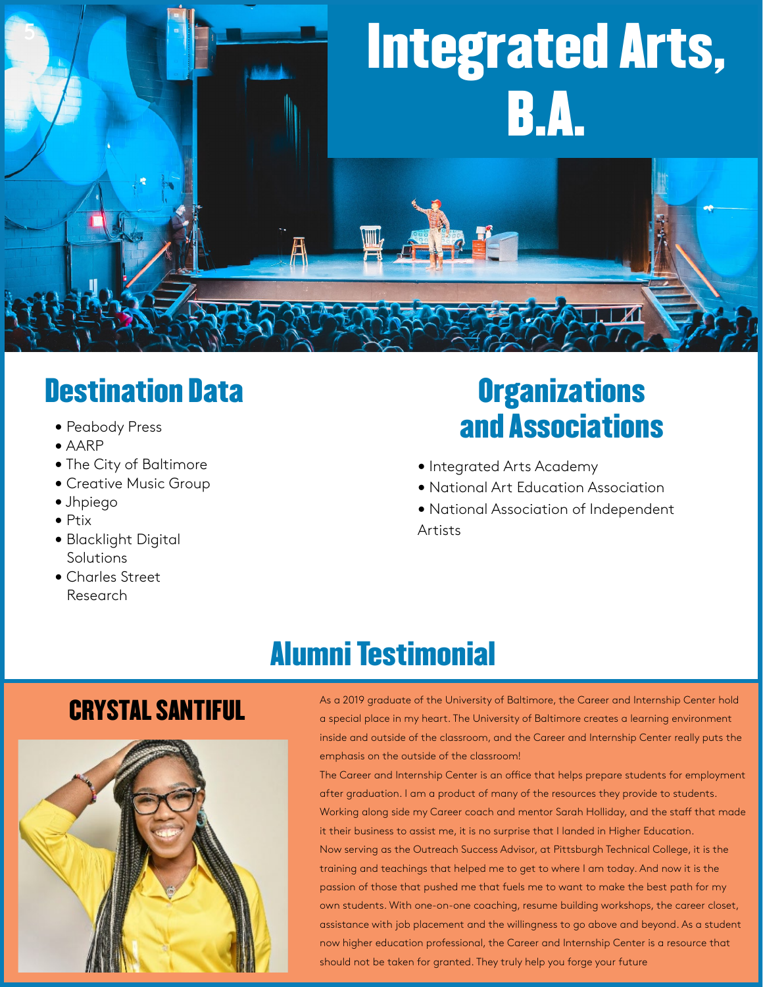

### Destination Data

- Peabody Press
- AARP
- The City of Baltimore
- Creative Music Group
- Jhpiego
- Ptix
- Blacklight Digital Solutions
- Charles Street Research

## **Organizations** and Associations

- Integrated Arts Academy
- National Art Education Association
- National Association of Independent Artists

# Alumni Testimonial

**Center**



As a 2019 graduate of the University of Baltimore, the Career and Internship Center hold<br>a special place in my heart. The University of Baltimore creates a learning environment inside and outside of the classroom, and the Career and Internship Center really puts the emphasis on the outside of the classroom!

> **Career and Internship** should not be taken for granted. They truly help you forge your future The Career and Internship Center is an office that helps prepare students for employment after graduation. I am a product of many of the resources they provide to students. Working along side my Career coach and mentor Sarah Holliday, and the staff that made it their business to assist me, it is no surprise that I landed in Higher Education. Now serving as the Outreach Success Advisor, at Pittsburgh Technical College, it is the training and teachings that helped me to get to where I am today. And now it is the passion of those that pushed me that fuels me to want to make the best path for my own students. With one-on-one coaching, resume building workshops, the career closet, assistance with job placement and the willingness to go above and beyond. As a student now higher education professional, the Career and Internship Center is a resource that